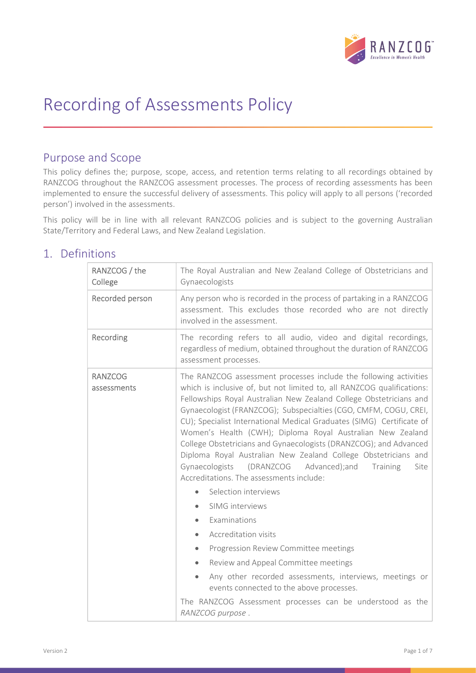

# Recording of Assessments Policy

### Purpose and Scope

This policy defines the; purpose, scope, access, and retention terms relating to all recordings obtained by RANZCOG throughout the RANZCOG assessment processes. The process of recording assessments has been implemented to ensure the successful delivery of assessments. This policy will apply to all persons ('recorded person') involved in the assessments.

This policy will be in line with all relevant RANZCOG policies and is subject to the governing Australian State/Territory and Federal Laws, and New Zealand Legislation.

### 1. Definitions

| RANZCOG / the<br>College      | The Royal Australian and New Zealand College of Obstetricians and<br>Gynaecologists                                                                                                                                                                                                                                                                                                                                                                                                                                                                                                                                                                                           |  |  |  |
|-------------------------------|-------------------------------------------------------------------------------------------------------------------------------------------------------------------------------------------------------------------------------------------------------------------------------------------------------------------------------------------------------------------------------------------------------------------------------------------------------------------------------------------------------------------------------------------------------------------------------------------------------------------------------------------------------------------------------|--|--|--|
| Recorded person               | Any person who is recorded in the process of partaking in a RANZCOG<br>assessment. This excludes those recorded who are not directly<br>involved in the assessment.                                                                                                                                                                                                                                                                                                                                                                                                                                                                                                           |  |  |  |
| Recording                     | The recording refers to all audio, video and digital recordings,<br>regardless of medium, obtained throughout the duration of RANZCOG<br>assessment processes.                                                                                                                                                                                                                                                                                                                                                                                                                                                                                                                |  |  |  |
| <b>RANZCOG</b><br>assessments | The RANZCOG assessment processes include the following activities<br>which is inclusive of, but not limited to, all RANZCOG qualifications:<br>Fellowships Royal Australian New Zealand College Obstetricians and<br>Gynaecologist (FRANZCOG); Subspecialties (CGO, CMFM, COGU, CREI,<br>CU); Specialist International Medical Graduates (SIMG) Certificate of<br>Women's Health (CWH); Diploma Royal Australian New Zealand<br>College Obstetricians and Gynaecologists (DRANZCOG); and Advanced<br>Diploma Royal Australian New Zealand College Obstetricians and<br>Gynaecologists (DRANZCOG Advanced);and<br>Training<br>Site<br>Accreditations. The assessments include: |  |  |  |
|                               | Selection interviews                                                                                                                                                                                                                                                                                                                                                                                                                                                                                                                                                                                                                                                          |  |  |  |
|                               | SIMG interviews                                                                                                                                                                                                                                                                                                                                                                                                                                                                                                                                                                                                                                                               |  |  |  |
|                               | Examinations                                                                                                                                                                                                                                                                                                                                                                                                                                                                                                                                                                                                                                                                  |  |  |  |
|                               | Accreditation visits<br>$\bullet$                                                                                                                                                                                                                                                                                                                                                                                                                                                                                                                                                                                                                                             |  |  |  |
|                               | Progression Review Committee meetings<br>$\bullet$                                                                                                                                                                                                                                                                                                                                                                                                                                                                                                                                                                                                                            |  |  |  |
|                               | Review and Appeal Committee meetings                                                                                                                                                                                                                                                                                                                                                                                                                                                                                                                                                                                                                                          |  |  |  |
|                               | Any other recorded assessments, interviews, meetings or<br>events connected to the above processes.                                                                                                                                                                                                                                                                                                                                                                                                                                                                                                                                                                           |  |  |  |
|                               | The RANZCOG Assessment processes can be understood as the<br>RANZCOG purpose.                                                                                                                                                                                                                                                                                                                                                                                                                                                                                                                                                                                                 |  |  |  |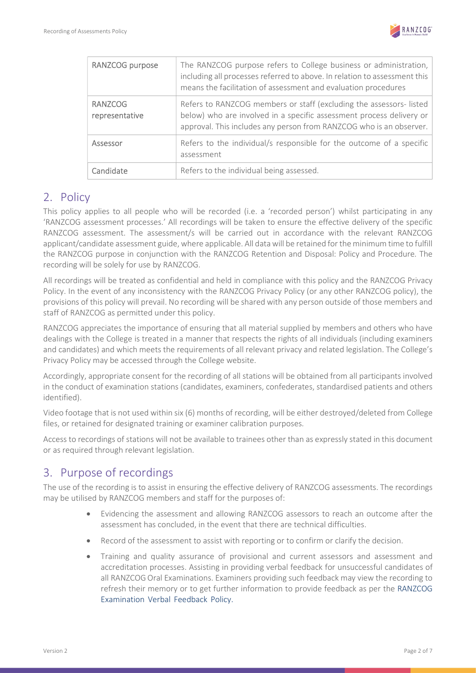

| RANZCOG purpose                  | The RANZCOG purpose refers to College business or administration,<br>including all processes referred to above. In relation to assessment this<br>means the facilitation of assessment and evaluation procedures  |  |
|----------------------------------|-------------------------------------------------------------------------------------------------------------------------------------------------------------------------------------------------------------------|--|
| <b>RANZCOG</b><br>representative | Refers to RANZCOG members or staff (excluding the assessors-listed<br>below) who are involved in a specific assessment process delivery or<br>approval. This includes any person from RANZCOG who is an observer. |  |
| Assessor                         | Refers to the individual/s responsible for the outcome of a specific<br>assessment                                                                                                                                |  |
| Candidate                        | Refers to the individual being assessed.                                                                                                                                                                          |  |

### 2. Policy

This policy applies to all people who will be recorded (i.e. a 'recorded person') whilst participating in any 'RANZCOG assessment processes.' All recordings will be taken to ensure the effective delivery of the specific RANZCOG assessment. The assessment/s will be carried out in accordance with the relevant RANZCOG applicant/candidate assessment guide, where applicable. All data will be retained for the minimum time to fulfill the RANZCOG purpose in conjunction with the RANZCOG Retention and Disposal: Policy and Procedure. The recording will be solely for use by RANZCOG.

All recordings will be treated as confidential and held in compliance with this policy and the RANZCOG Privacy Policy. In the event of any inconsistency with the RANZCOG Privacy Policy (or any other RANZCOG policy), the provisions of this policy will prevail. No recording will be shared with any person outside of those members and staff of RANZCOG as permitted under this policy.

RANZCOG appreciates the importance of ensuring that all material supplied by members and others who have dealings with the College is treated in a manner that respects the rights of all individuals (including examiners and candidates) and which meets the requirements of all relevant privacy and related legislation. The College's Privacy Policy may be accessed through the College website.

Accordingly, appropriate consent for the recording of all stations will be obtained from all participants involved in the conduct of examination stations (candidates, examiners, confederates, standardised patients and others identified).

Video footage that is not used within six (6) months of recording, will be either destroyed/deleted from College files, or retained for designated training or examiner calibration purposes.

Access to recordings of stations will not be available to trainees other than as expressly stated in this document or as required through relevant legislation.

# 3. Purpose of recordings

The use of the recording is to assist in ensuring the effective delivery of RANZCOG assessments. The recordings may be utilised by RANZCOG members and staff for the purposes of:

- Evidencing the assessment and allowing RANZCOG assessors to reach an outcome after the assessment has concluded, in the event that there are technical difficulties.
- Record of the assessment to assist with reporting or to confirm or clarify the decision.
- Training and quality assurance of provisional and current assessors and assessment and accreditation processes. Assisting in providing verbal feedback for unsuccessful candidates of all RANZCOG Oral Examinations. Examiners providing such feedback may view the recording to refresh their memory or to get further information to provide feedback as per the RANZCOG Examination Verbal Feedback Policy.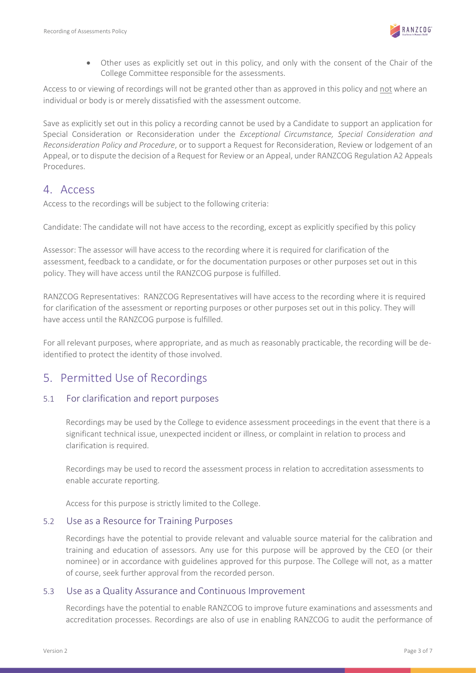

 Other uses as explicitly set out in this policy, and only with the consent of the Chair of the College Committee responsible for the assessments.

Access to or viewing of recordings will not be granted other than as approved in this policy and not where an individual or body is or merely dissatisfied with the assessment outcome.

Save as explicitly set out in this policy a recording cannot be used by a Candidate to support an application for Special Consideration or Reconsideration under the Exceptional Circumstance, Special Consideration and Reconsideration Policy and Procedure, or to support a Request for Reconsideration, Review or lodgement of an Appeal, or to dispute the decision of a Request for Review or an Appeal, under RANZCOG Regulation A2 Appeals Procedures.

### 4. Access

Access to the recordings will be subject to the following criteria:

Candidate: The candidate will not have access to the recording, except as explicitly specified by this policy

Assessor: The assessor will have access to the recording where it is required for clarification of the assessment, feedback to a candidate, or for the documentation purposes or other purposes set out in this policy. They will have access until the RANZCOG purpose is fulfilled.

RANZCOG Representatives: RANZCOG Representatives will have access to the recording where it is required for clarification of the assessment or reporting purposes or other purposes set out in this policy. They will have access until the RANZCOG purpose is fulfilled.

For all relevant purposes, where appropriate, and as much as reasonably practicable, the recording will be deidentified to protect the identity of those involved.

### 5. Permitted Use of Recordings

#### 5.1 For clarification and report purposes

Recordings may be used by the College to evidence assessment proceedings in the event that there is a significant technical issue, unexpected incident or illness, or complaint in relation to process and clarification is required.

Recordings may be used to record the assessment process in relation to accreditation assessments to enable accurate reporting.

Access for this purpose is strictly limited to the College.

#### 5.2 Use as a Resource for Training Purposes

Recordings have the potential to provide relevant and valuable source material for the calibration and training and education of assessors. Any use for this purpose will be approved by the CEO (or their nominee) or in accordance with guidelines approved for this purpose. The College will not, as a matter of course, seek further approval from the recorded person.

#### 5.3 Use as a Quality Assurance and Continuous Improvement

Recordings have the potential to enable RANZCOG to improve future examinations and assessments and accreditation processes. Recordings are also of use in enabling RANZCOG to audit the performance of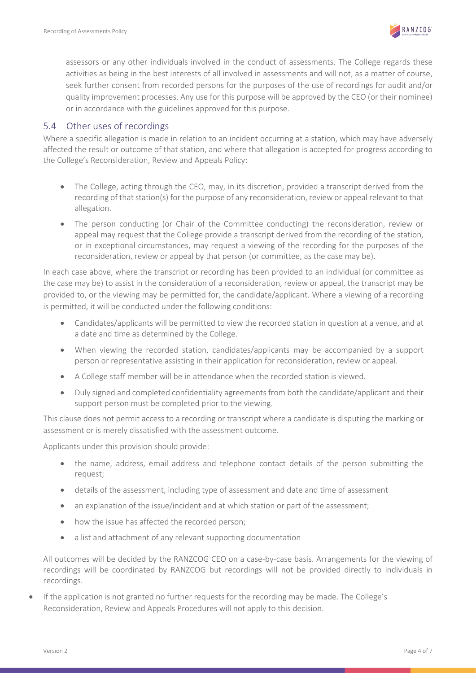

assessors or any other individuals involved in the conduct of assessments. The College regards these activities as being in the best interests of all involved in assessments and will not, as a matter of course, seek further consent from recorded persons for the purposes of the use of recordings for audit and/or quality improvement processes. Any use for this purpose will be approved by the CEO (or their nominee) or in accordance with the guidelines approved for this purpose.

### 5.4 Other uses of recordings

Where a specific allegation is made in relation to an incident occurring at a station, which may have adversely affected the result or outcome of that station, and where that allegation is accepted for progress according to the College's Reconsideration, Review and Appeals Policy:

- The College, acting through the CEO, may, in its discretion, provided a transcript derived from the recording of that station(s) for the purpose of any reconsideration, review or appeal relevant to that allegation.
- The person conducting (or Chair of the Committee conducting) the reconsideration, review or appeal may request that the College provide a transcript derived from the recording of the station, or in exceptional circumstances, may request a viewing of the recording for the purposes of the reconsideration, review or appeal by that person (or committee, as the case may be).

In each case above, where the transcript or recording has been provided to an individual (or committee as the case may be) to assist in the consideration of a reconsideration, review or appeal, the transcript may be provided to, or the viewing may be permitted for, the candidate/applicant. Where a viewing of a recording is permitted, it will be conducted under the following conditions:

- Candidates/applicants will be permitted to view the recorded station in question at a venue, and at a date and time as determined by the College.
- When viewing the recorded station, candidates/applicants may be accompanied by a support person or representative assisting in their application for reconsideration, review or appeal.
- A College staff member will be in attendance when the recorded station is viewed.
- Duly signed and completed confidentiality agreements from both the candidate/applicant and their support person must be completed prior to the viewing.

This clause does not permit access to a recording or transcript where a candidate is disputing the marking or assessment or is merely dissatisfied with the assessment outcome.

Applicants under this provision should provide:

- the name, address, email address and telephone contact details of the person submitting the request;
- details of the assessment, including type of assessment and date and time of assessment
- an explanation of the issue/incident and at which station or part of the assessment;
- how the issue has affected the recorded person;
- a list and attachment of any relevant supporting documentation

All outcomes will be decided by the RANZCOG CEO on a case-by-case basis. Arrangements for the viewing of recordings will be coordinated by RANZCOG but recordings will not be provided directly to individuals in recordings.

 If the application is not granted no further requests for the recording may be made. The College's Reconsideration, Review and Appeals Procedures will not apply to this decision.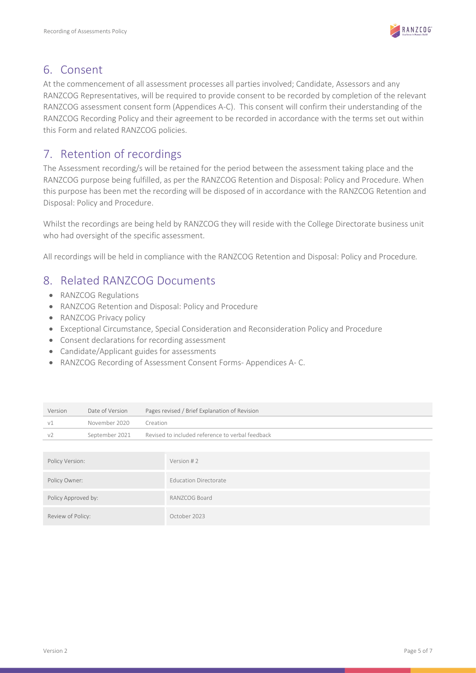

### 6. Consent

At the commencement of all assessment processes all parties involved; Candidate, Assessors and any RANZCOG Representatives, will be required to provide consent to be recorded by completion of the relevant RANZCOG assessment consent form (Appendices A-C). This consent will confirm their understanding of the RANZCOG Recording Policy and their agreement to be recorded in accordance with the terms set out within this Form and related RANZCOG policies.

# 7. Retention of recordings

The Assessment recording/s will be retained for the period between the assessment taking place and the RANZCOG purpose being fulfilled, as per the RANZCOG Retention and Disposal: Policy and Procedure. When this purpose has been met the recording will be disposed of in accordance with the RANZCOG Retention and Disposal: Policy and Procedure.

Whilst the recordings are being held by RANZCOG they will reside with the College Directorate business unit who had oversight of the specific assessment.

All recordings will be held in compliance with the RANZCOG Retention and Disposal: Policy and Procedure.

### 8. Related RANZCOG Documents

- RANZCOG Regulations
- RANZCOG Retention and Disposal: Policy and Procedure
- RANZCOG Privacy policy
- Exceptional Circumstance, Special Consideration and Reconsideration Policy and Procedure
- Consent declarations for recording assessment
- Candidate/Applicant guides for assessments
- RANZCOG Recording of Assessment Consent Forms- Appendices A- C.

| Version             | Date of Version | Pages revised / Brief Explanation of Revision    |                              |  |
|---------------------|-----------------|--------------------------------------------------|------------------------------|--|
| V <sub>1</sub>      | November 2020   | Creation                                         |                              |  |
| V <sub>2</sub>      | September 2021  | Revised to included reference to verbal feedback |                              |  |
|                     |                 |                                                  |                              |  |
| Policy Version:     |                 |                                                  | Version #2                   |  |
| Policy Owner:       |                 |                                                  | <b>Education Directorate</b> |  |
| Policy Approved by: |                 |                                                  | RANZCOG Board                |  |
| Review of Policy:   |                 |                                                  | October 2023                 |  |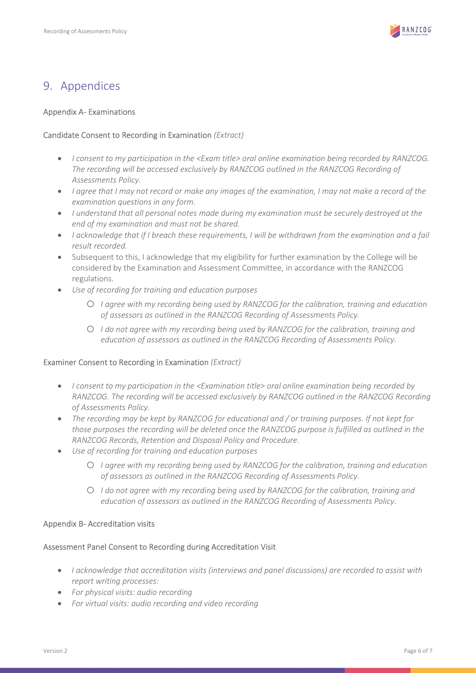

### 9. Appendices

#### Appendix A- Examinations

#### Candidate Consent to Recording in Examination (Extract)

- I consent to my participation in the <Exam title> oral online examination being recorded by RANZCOG. The recording will be accessed exclusively by RANZCOG outlined in the RANZCOG Recording of Assessments Policy.
- I agree that I may not record or make any images of the examination, I may not make a record of the examination questions in any form.
- $\bullet$  I understand that all personal notes made during my examination must be securely destroyed at the end of my examination and must not be shared.
- I acknowledge that if I breach these requirements, I will be withdrawn from the examination and a fail result recorded.
- Subsequent to this, I acknowledge that my eligibility for further examination by the College will be considered by the Examination and Assessment Committee, in accordance with the RANZCOG regulations.
- Use of recording for training and education purposes
	- o I agree with my recording being used by RANZCOG for the calibration, training and education of assessors as outlined in the RANZCOG Recording of Assessments Policy.
	- o I do not agree with my recording being used by RANZCOG for the calibration, training and education of assessors as outlined in the RANZCOG Recording of Assessments Policy.

#### Examiner Consent to Recording in Examination (Extract)

- I consent to my participation in the <Examination title> oral online examination being recorded by RANZCOG. The recording will be accessed exclusively by RANZCOG outlined in the RANZCOG Recording of Assessments Policy.
- The recording may be kept by RANZCOG for educational and / or training purposes. If not kept for those purposes the recording will be deleted once the RANZCOG purpose is fulfilled as outlined in the RANZCOG Records, Retention and Disposal Policy and Procedure.
- Use of recording for training and education purposes
	- o I agree with my recording being used by RANZCOG for the calibration, training and education of assessors as outlined in the RANZCOG Recording of Assessments Policy.
	- o I do not agree with my recording being used by RANZCOG for the calibration, training and education of assessors as outlined in the RANZCOG Recording of Assessments Policy.

#### Appendix B- Accreditation visits

#### Assessment Panel Consent to Recording during Accreditation Visit

- I acknowledge that accreditation visits (interviews and panel discussions) are recorded to assist with report writing processes:
- For physical visits: audio recording
- For virtual visits: audio recording and video recording